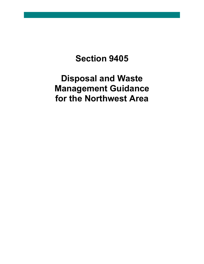# **Section 9405**

**Disposal and Waste Management Guidance for the Northwest Area**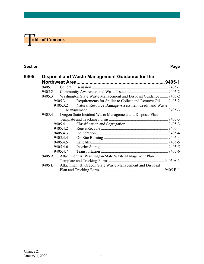

## **Section Page**

| 9405 |        |          | Disposal and Waste Management Guidance for the                  |  |
|------|--------|----------|-----------------------------------------------------------------|--|
|      |        |          |                                                                 |  |
|      | 9405.1 |          |                                                                 |  |
|      | 9405.2 |          |                                                                 |  |
|      | 9405.3 |          | Washington State Waste Management and Disposal Guidance  9405-2 |  |
|      |        | 9405.3.1 | Requirements for Spiller to Collect and Remove Oil 9405-2       |  |
|      |        | 9405.3.2 | Natural Resource Damage Assessment Credit and Waste             |  |
|      |        |          |                                                                 |  |
|      | 9405.4 |          | Oregon State Incident Waste Management and Disposal Plan        |  |
|      |        |          |                                                                 |  |
|      |        | 9405.4.1 |                                                                 |  |
|      |        | 9405.4.2 |                                                                 |  |
|      |        | 9405.4.3 |                                                                 |  |
|      |        | 9405.4.4 |                                                                 |  |
|      |        | 9405.4.5 |                                                                 |  |
|      |        | 9405.4.6 |                                                                 |  |
|      |        | 9405.4.7 |                                                                 |  |
|      | 9405 A |          | Attachment A: Washington State Waste Management Plan            |  |
|      |        |          |                                                                 |  |
|      | 9405 B |          | Attachment B: Oregon State Waste Management and Disposal        |  |
|      |        |          |                                                                 |  |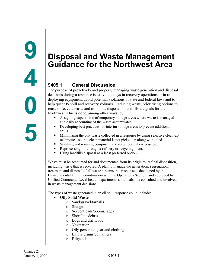# <span id="page-2-2"></span><span id="page-2-1"></span><span id="page-2-0"></span>**9405.1 General Discussion**

The purpose of proactively and properly managing waste generation and disposal decisions during a response is to avoid delays in recovery operations or in redeploying equipment, avoid potential violations of state and federal laws and to help quantify spill and recovery volumes. Reducing waste, prioritizing options to reuse or recycle waste and minimize disposal in landfills are goals for the Northwest. This is done, among other ways, by:

- Assigning supervision of temporary storage areas where waste is managed and daily accounting of the waste accumulated.
- Developing best practices for interim storage areas to prevent additional spills.
- Minimizing the oily waste collected in a response by using selective clean-up techniques, so that clean material is not picked up along with oiled.
- Washing and re-using equipment and resources, where possible.
- Reprocessing oil through a refinery or recycling plant.
- Using landfills disposal as a least preferred option.

Waste must be accounted for and documented from its origin to its final disposition, including waste that is recycled. A plan to manage the generation, segregation, treatment and disposal of all waste streams in a response is developed by the Environmental Unit in coordination with the Operations Section, and approved by Unified Command. Local health departments should also be consulted and involved in waste management decisions.

The types of waste generated in an oil spill response could include:

- **Oily Solid Waste**
	- o Sand/gravel/tarballs
	- o Sludge
	- o Sorbent pads/booms/rages
	- o Shoreline debris
	- o Logs and driftwood
	- o Vegetation
	- o Oily personnel gear and clothing
	- o Empty drums/containers
	- o Bilge oils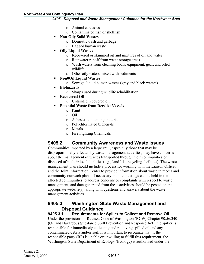#### **Northwest Area Contingency Plan**

#### *9405. Disposal and Waste Management Guidance for the Northwest Area*

- o Animal carcasses
- o Contaminated fish or shellfish
- **Non-Oily Solid Wastes**
	- o Domestic trash and garbage
	- o Bagged human waste
- **Oily Liquid Wastes**
	- o Recovered or skimmed oil and mixtures of oil and water
	- o Rainwater runoff from waste storage areas
	- o Wash waters from cleaning boats, equipment, gear, and oiled wildlife
	- o Other oily waters mixed with sediments
- **Non0Oil Liquid Wastes** 
	- o Sewage, liquid human wastes (gray and black waters)
- **Biohazards**
	- o Sharps used during wildlife rehabilitation
- **Recovered Oil** 
	- o Untainted recovered oil
- **Potential Waste from Derelict Vessels**
	- o Paint
	- o Oil
	- o Asbestos-containing material
	- o Polychlorinated biphenyls
	- o Metals
	- o Fire Fighting Chemicals

# <span id="page-3-0"></span>**9405.2 Community Awareness and Waste Issues**

Communities impacted by a large spill, especially those that may be disproportionally affected by waste management activities, may have concerns about the management of wastes transported through their communities or disposed of in their local facilities (e.g., landfills, recycling facilities). The waste management plan should include a process for working with the Liaison Officer and the Joint Information Center to provide information about waste in media and community outreach plans. If necessary, public meetings can be held in the affected communities to address concerns or complaints with respect to waste management, and data generated from these activities should be posted on the appropriate website(s), along with questions and answers about the waste management activities.

# <span id="page-3-1"></span>**9405.3 Washington State Waste Management and Disposal Guidance**

<span id="page-3-2"></span>**9405.3.1 Requirements for Spiller to Collect and Remove Oil**

Under the provisions of Revised Code of Washington (RCW) Chapter 90.56.340 (Oil and Hazardous Substance Spill Prevention and Response Act), the spiller is responsible for immediately collecting and removing spilled oil and any contaminated debris and/or soil. It is important to recognize that, if the responsible party (RP) is unable or unwilling to fulfill this requirement, the Washington State Department of Ecology (Ecology) is authorized under the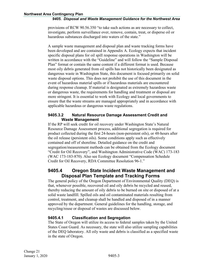provisions of RCW 90.56.350 "to take such actions as are necessary to collect, investigate, perform surveillance over, remove, contain, treat, or disperse oil or hazardous substances discharged into waters of the state."

A sample waste management and disposal plan and waste tracking forms have been developed and are contained in Appendix A. Ecology expects that incident specific disposal plans for oil spill response operations in Washington will be written in accordance with the "Guideline" and will follow the "Sample Disposal Plan" format or contain the same content if a different format is used. Because most oily debris generated from oil spills has not historically been designated as dangerous waste in Washington State, this document is focused primarily on solid waste disposal options. This does not prohibit the use of this document in the event of hazardous material spills or if hazardous materials are encountered during response cleanup. If material is designated as extremely hazardous waste or dangerous waste, the requirements for handling and treatment or disposal are more stringent. It is essential to work with Ecology and local governments to ensure that the waste streams are managed appropriately and in accordance with applicable hazardous or dangerous waste regulations.

# <span id="page-4-0"></span>**9405.3.2 Natural Resource Damage Assessment Credit and Waste Management**

If the RP will seek credit for oil recovery under Washington State's Natural Resource Damage Assessment process, additional segregation is required for product collected during the first 24-hours (non-persistent oils), or 48-hours after the oil release (persistent oils). Some conditions apply such as effectively contained and off of shoreline. Detailed guidance on the credit and segregation/measurement methods can be obtained from the Ecology document "Credit for Oil Recovery", and Washington Administrative Code (WAC) 173-183 (WAC 173-183-870). Also see Ecology document "Compensation Schedule Credit for Oil Recovery, RDA Committee Resolution 96-1."

# <span id="page-4-1"></span>**9405.4 Oregon State Incident Waste Management and Disposal Plan Template and Tracking Forms**

The general policy of the Oregon Department of Environmental Quality (DEQ) is that, whenever possible, recovered oil and oily debris be recycled and reused, thereby reducing the amount of oily debris to be burned on site or disposed of at a solid waste landfill. Spilled oils and oil contaminated materials resulting from control, treatment, and cleanup shall be handled and disposed of in a manner approved by the department. General guidelines for the handling, storage, and recycling/reuse or disposal of wastes are discussed below.

# <span id="page-4-2"></span>**9405.4.1 Classification and Segregation**

The State of Oregon will utilize its access to federal samples taken by the United States Coast Guard. As necessary, the state will also utilize sampling capabilities of the DEQ laboratory. All oily waste and debris is classified as a specified waste in the state of Oregon.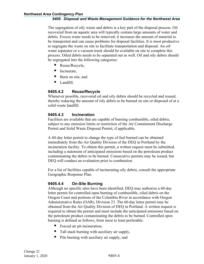The segregation of oily waste and debris is a key part of the disposal process. Oil recovered from an aquatic area will typically contain large amounts of water and debris. Excess water needs to be removed; it increases the amount of material to be transported and can cause problems for disposal facilities. It is most productive to segregate the waste on site to facilitate transportation and disposal. An oil/ water separator or a vacuum truck should be available on site to complete this process. Oiled debris needs to be separated out as well. Oil and oily debris should be segregated into the following categories:

- Reuse/Recycle,
- Incinerate,
- Burn on site, and
- **Landfill.**

# <span id="page-5-0"></span>**9405.4.2 Reuse/Recycle**

Whenever possible, recovered oil and oily debris should be recycled and reused, thereby reducing the amount of oily debris to be burned on site or disposed of at a solid waste landfill.

# <span id="page-5-1"></span>**9405.4.3 Incineration**

Facilities are available that are capable of burning combustible, oiled debris, subject to any emission limits or restriction of the Air Containment Discharge Permit and Solid Waste Disposal Permit, if applicable.

A 60-day letter permit to change the type of fuel burned can be obtained immediately from the Air Quality Division of the DEQ in Portland by the incineration facility. To obtain this permit, a written request must be submitted, including a statement of anticipated emissions based on the petroleum product contaminating the debris to be burned. Consecutive permits may be issued, but DEQ will conduct an evaluation prior to combustion.

For a list of facilities capable of incinerating oily debris, consult the appropriate Geographic Response Plan.

# <span id="page-5-2"></span>**9405.4.4 On-Site Burning**

Although no specific sites have been identified, DEQ may authorize a 60-day letter permit for controlled open burning of combustible, oiled debris on the Oregon Coast and portions of the Columbia River in accordance with Oregon Administrative Rules (OAR), Division 23. The 60-day letter permit may be obtained from the Air Quality Division of DEQ in Portland. A written request is required to obtain the permit and must include the anticipated emissions based on the petroleum product contaminating the debris to be burned. Controlled open burning is defined as follows, from most to least preferable:

- Forced air pit incineration,
- Tall stack burning with auxiliary air supply,
- Pile burning with auxiliary air supply, and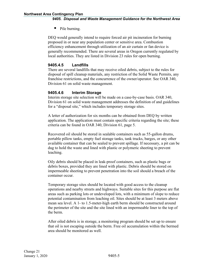**Pile burning.** 

DEQ would generally intend to require forced air pit incineration for burning proposed in or near any population center or sensitive area. Combustion efficiency enhancement through utilization of an air curtain or fan device is generally recommended. There are several areas in Oregon currently regulated by local authorities. They are listed in Division 23 rules for open burning.

# <span id="page-6-0"></span>**9405.4.5 Landfills**

There are several landfills that may receive oiled debris, subject to the rules for disposal of spill cleanup materials, any restriction of the Solid Waste Permits, any franchise restrictions, and the concurrence of the owner/operator. See OAR 340, Division 61 on solid waste management.

# <span id="page-6-1"></span>**9405.4.6 Interim Storage**

Interim storage site selection will be made on a case-by-case basis. OAR 340, Division 61 on solid waste management addresses the definition of and guidelines for a "disposal site," which includes temporary storage sites.

A letter of authorization for six months can be obtained from DEQ by written application. The application must contain specific criteria regarding the site; these criteria can be found in OAR 340, Division 61, page 5.

Recovered oil should be stored in sealable containers such as 55-gallon drums, portable pillow tanks, empty fuel storage tanks, tank trucks, barges, or any other available container that can be sealed to prevent spillage. If necessary, a pit can be dug to hold the waste and lined with plastic or polymeric sheeting to prevent leaching.

Oily debris should be placed in leak-proof containers, such as plastic bags or debris boxes, provided they are lined with plastic. Debris should be stored on impermeable sheeting to prevent penetration into the soil should a breach of the container occur.

Temporary storage sites should be located with good access to the cleanup operations and nearby streets and highways. Suitable sites for this purpose are flat areas such as parking lots or undeveloped lots, with a minimum of slope to reduce potential contamination from leaching oil. Sites should be at least 3 meters above mean sea level. A 1- to 1.5-meter-high earth berm should be constructed around the perimeter of the site and the site lined with an impermeable liner to the top of the berm.

After oiled debris is in storage, a monitoring program should be set up to ensure that oil is not escaping outside the berm. Free oil accumulation within the bermed area should be monitored as well.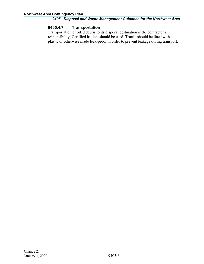## <span id="page-7-0"></span>**9405.4.7 Transportation**

Transportation of oiled debris to its disposal destination is the contractor's responsibility. Certified haulers should be used. Trucks should be lined with plastic or otherwise made leak-proof in order to prevent leakage during transport.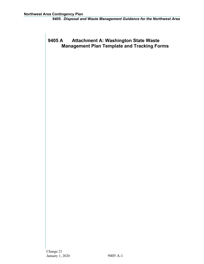# <span id="page-8-0"></span>**9405 A Attachment A: Washington State Waste Management Plan Template and Tracking Forms**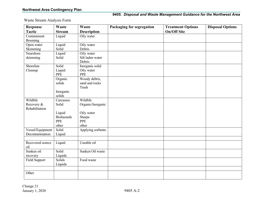Waste Stream Analysis Form

| <b>Response</b>  | <b>Waste</b>      | <b>Waste</b>       | Packaging for segregation | <b>Treatment Options</b> | <b>Disposal Options</b> |
|------------------|-------------------|--------------------|---------------------------|--------------------------|-------------------------|
| <b>Tactic</b>    | <b>Stream</b>     | <b>Description</b> |                           | <b>On/Off Site</b>       |                         |
| Containment      | Liquid            | Oily water         |                           |                          |                         |
| Booming          |                   |                    |                           |                          |                         |
| Open water       | Liquid            | Oily water         |                           |                          |                         |
| Skimming         | Solid             | Debris             |                           |                          |                         |
| Nearshore        | Liquid            | Oily water         |                           |                          |                         |
| skimming         | Solid             | Silt laden water   |                           |                          |                         |
|                  |                   | Debris             |                           |                          |                         |
| Shoreline        | Solid             | Inorganic solid    |                           |                          |                         |
| Cleanup          | Liquid            | Oily water         |                           |                          |                         |
|                  | <b>PPE</b>        | <b>PPE</b>         |                           |                          |                         |
|                  | Organic           | Woody debris,      |                           |                          |                         |
|                  | solids            | sand and rocks     |                           |                          |                         |
|                  |                   | Trash              |                           |                          |                         |
|                  | Inorganic         |                    |                           |                          |                         |
|                  | solids            |                    |                           |                          |                         |
| Wildlife         | Carcasses         | Wildlife           |                           |                          |                         |
| Recovery &       | Solid             | Organic/Inorganic  |                           |                          |                         |
| Rehabilitation   |                   |                    |                           |                          |                         |
|                  | Liquid            | Oily water         |                           |                          |                         |
|                  | <b>Biohazards</b> | Sharps             |                           |                          |                         |
|                  | PPE               | <b>PPE</b>         |                           |                          |                         |
|                  | other             | other              |                           |                          |                         |
| Vessel/Equipment | Solid             | Applying sorbents  |                           |                          |                         |
| Decontamination  | Liquid            |                    |                           |                          |                         |
|                  |                   |                    |                           |                          |                         |
| Recovered source | Liquid            | Useable oil        |                           |                          |                         |
| oil              |                   |                    |                           |                          |                         |
| Sunken oil       | Solid             | Sunken Oil waste   |                           |                          |                         |
| recovery         | Liquids           |                    |                           |                          |                         |
| Field Support    | Solids            | Food waste         |                           |                          |                         |
|                  | Liquids           |                    |                           |                          |                         |
|                  |                   |                    |                           |                          |                         |
| Other            |                   |                    |                           |                          |                         |
|                  |                   |                    |                           |                          |                         |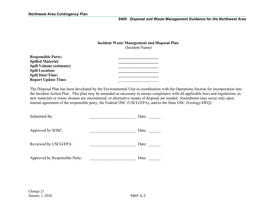# **Incident Waste Management and Disposal Plan**

(Incident Name)

| <b>Responsible Party:</b>       |  |
|---------------------------------|--|
| <b>Spilled Material:</b>        |  |
| <b>Spill Volume (estimate):</b> |  |
| <b>Spill Location:</b>          |  |
| <b>Spill Date/Time:</b>         |  |
| <b>Report Update Time:</b>      |  |

The Disposal Plan has been developed by the Environmental Unit in coordination with the Operations Section for incorporation into the Incident Action Plan. This plan may be amended as necessary to ensure compliance with all applicable laws and regulations, as new materials or waste streams are encountered, or alternative means of disposal are needed. Amendment may occur only upon mutual agreement of the responsible party, the Federal OSC (USCG/EPA), and/or the State OSC (Ecology/DEQ).

| Submitted By:                  | Date: |
|--------------------------------|-------|
| Approved by SOSC:              | Date: |
| Reviewed by USCG/EPA:          | Date: |
| Approved by Responsible Party: | Date: |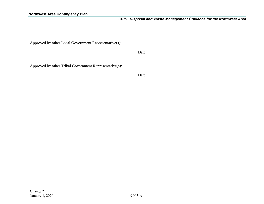Approved by other Local Government Representative(s):

\_\_\_\_\_\_\_\_\_\_\_\_\_\_\_\_\_\_\_\_\_\_\_ Date: \_\_\_\_\_\_

Approved by other Tribal Government Representative(s):

\_\_\_\_\_\_\_\_\_\_\_\_\_\_\_\_\_\_\_\_\_\_\_ Date: \_\_\_\_\_\_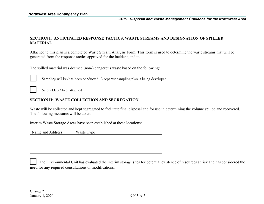## **SECTION I: ANTICIPATED RESPONSE TACTICS, WASTE STREAMS AND DESIGNATION OF SPILLED MATERIAL**

Attached to this plan is a completed Waste Stream Analysis Form. This form is used to determine the waste streams that will be generated from the response tactics approved for the incident, and to

The spilled material was deemed (non-) dangerous waste based on the following:



Sampling will be/has been conducted. A separate sampling plan is being developed.

Safety Data Sheet attached

#### **SECTION II: WASTE COLLECTION AND SEGREGATION**

Waste will be collected and kept segregated to facilitate final disposal and for use in determining the volume spilled and recovered. The following measures will be taken:

Interim Waste Storage Areas have been established at these locations:

| Name and Address | Waste Type |  |
|------------------|------------|--|
|                  |            |  |
|                  |            |  |
|                  |            |  |
|                  |            |  |

The Environmental Unit has evaluated the interim storage sites for potential existence of resources at risk and has considered the need for any required consultations or modifications.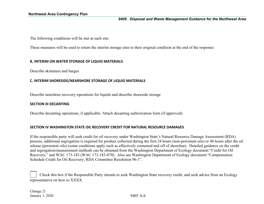The following conditions will be met at each site:

These measures will be used to return the interim storage sites to their original condition at the end of the response:

#### **B. INTERIM ON WATER STORAGE OF LIQUID MATERIALS**

Describe skimmers and barges

#### **C. INTERIM SHORESIDE/NEARSHORE STORAGE OF LIQUID MATERIALS**

Describe nearshore recovery operations for liquids and describe shoreside storage

#### **SECTION III DECANTING**

Describe decanting operations, if applicable. Attach decanting authorization form (if approved).

#### **SECTION IV WASHINGTON STATE OIL RECOVERY CREDIT FOR NATURAL RESOURCE DAMAGES**

If the responsible party will seek credit for oil recovery under Washington State's Natural Resource Damage Assessment (RDA) process, additional segregation is required for product collected during the first 24 hours (non-persistent oils) or 48 hours after the oil release (persistent oils) (some conditions apply such as effectively contained and off of shoreline). Detailed guidance on the credit and segregation/measurement methods can be obtained from the Washington Department of Ecology document "Credit for Oil Recovery," and WAC 173-183 (WAC 173-183-870). Also see Washington Department of Ecology document "Compensation Schedule Credit for Oil Recovery, RDA Committee Resolution 96-1".

 Check this box if the Responsible Party intends to seek Washington State recovery credit, and seek advice from an Ecology representative on how to XXXX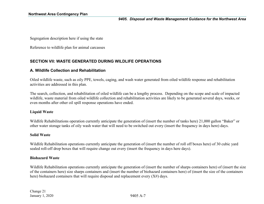Segregation description here if using the state

Reference to wildlife plan for animal carcasses

# **SECTION VII: WASTE GENERATED DURING WILDLIFE OPERATIONS**

## **A. Wildlife Collection and Rehabilitation**

Oiled wildlife waste, such as oily PPE, towels, caging, and wash water generated from oiled wildlife response and rehabilitation activities are addressed in this plan.

The search, collection, and rehabilitation of oiled wildlife can be a lengthy process. Depending on the scope and scale of impacted wildlife, waste material from oiled wildlife collection and rehabilitation activities are likely to be generated several days, weeks, or even months after other oil spill response operations have ended.

#### **Liquid Waste**

Wildlife Rehabilitations operation currently anticipate the generation of (insert the number of tanks here) 21,000 gallon "Baker" or other water storage tanks of oily wash water that will need to be switched out every (insert the frequency in days here) days.

#### **Solid Waste**

Wildlife Rehabilitation operations currently anticipate the generation of (insert the number of roll off boxes here) of 30 cubic yard sealed roll-off drop boxes that will require change out every (insert the frequency in days here days).

#### **Biohazard Waste**

Wildlife Rehabilitation operations currently anticipate the generation of (insert the number of sharps containers here) of (insert the size of the containers here) size sharps containers and (insert the number of biohazard containers here) of (insert the size of the containers here) biohazard containers that will require disposal and replacement every (X#) days.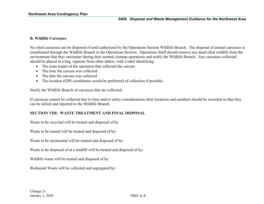#### **B. Wildlife Carcasses**

No oiled carcasses can be disposed of until authorized by the Operations Section Wildlife Branch. The disposal of animal carcasses is coordinated through the Wildlife Branch in the Operations Section. Operations Staff should remove any dead oiled wildlife from the environment that they encounter during their normal cleanup operations and notify the Wildlife Branch. Any carcasses collected should be placed in a bag, separate from other debris, with a label identifying:

- The team leader of the operation that collected the carcass
- The time the carcass was collected
- The date the carcass was collected
- The location (GPS coordinates would be preferred) of collection if possible.

Notify the Wildlife Branch of carcasses that are collected.

If carcasses cannot be collected due to time and/or safety considerations their locations and numbers should be recorded so that they can be tallied and reported to the Wildlife Branch.

#### **SECTION VIII: WASTE TREATMENT AND FINAL DISPOSAL**

Waste to be recycled will be treated and disposed of by

Waste to be reused will be treated and disposed of by:

Waste to be incinerated will be treated and disposed of by:

Waste to be disposed of at a landfill will be treated and disposed of by:

Wildlife waste will be treated and disposed of by:

Biohazard Waste will be collected and segregated by: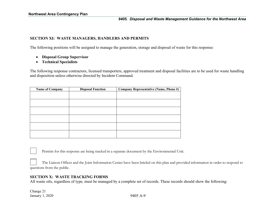#### **SECTION XI: WASTE MANAGERS, HANDLERS AND PERMITS**

The following positions will be assigned to manage the generation, storage and disposal of waste for this response:

- **Disposal Group Supervisor**
- **Technical Specialists**

The following response contractors, licensed transporters, approved treatment and disposal facilities are to be used for waste handling and disposition unless otherwise directed by Incident Command.

| <b>Name of Company</b> | <b>Disposal Function</b> | Company Representative (Name, Phone #) |
|------------------------|--------------------------|----------------------------------------|
|                        |                          |                                        |
|                        |                          |                                        |
|                        |                          |                                        |
|                        |                          |                                        |
|                        |                          |                                        |
|                        |                          |                                        |
|                        |                          |                                        |
|                        |                          |                                        |
|                        |                          |                                        |
|                        |                          |                                        |

Permits for this response are being tracked in a separate document by the Environmental Unit.

The Liaison Officer and the Joint Information Center have been briefed on this plan and provided information in order to respond to questions from the public.

#### **SECTION X: WASTE TRACKING FORMS**

All waste oils, regardless of type, must be managed by a complete set of records. These records should show the following:

Change 21 January 1, 2020 9405 A-9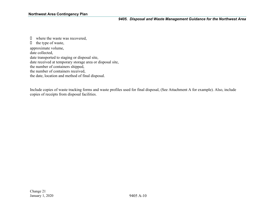$\Box$  where the waste was recovered,  $\Box$  the type of waste, approximate volume, date collected, date transported to staging or disposal site, date received at temporary storage area or disposal site, the number of containers shipped, the number of containers received, the date, location and method of final disposal.

Include copies of waste tracking forms and waste profiles used for final disposal, (See Attachment A for example). Also, include copies of receipts from disposal facilities.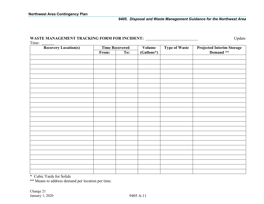# **WASTE MANAGEMENT TRACKING FORM FOR INCIDENT:** Update

Time:

| <b>Recovery Location(s)</b> |       | <b>Time Recovered</b> | Volume     | <b>Type of Waste</b> |                                                |
|-----------------------------|-------|-----------------------|------------|----------------------|------------------------------------------------|
|                             | From: | To:                   | (Gallons*) |                      | <b>Projected Interim Storage<br/>Demand **</b> |
|                             |       |                       |            |                      |                                                |
|                             |       |                       |            |                      |                                                |
|                             |       |                       |            |                      |                                                |
|                             |       |                       |            |                      |                                                |
|                             |       |                       |            |                      |                                                |
|                             |       |                       |            |                      |                                                |
|                             |       |                       |            |                      |                                                |
|                             |       |                       |            |                      |                                                |
|                             |       |                       |            |                      |                                                |
|                             |       |                       |            |                      |                                                |
|                             |       |                       |            |                      |                                                |
|                             |       |                       |            |                      |                                                |
|                             |       |                       |            |                      |                                                |
|                             |       |                       |            |                      |                                                |
|                             |       |                       |            |                      |                                                |
|                             |       |                       |            |                      |                                                |
|                             |       |                       |            |                      |                                                |
|                             |       |                       |            |                      |                                                |
|                             |       |                       |            |                      |                                                |
|                             |       |                       |            |                      |                                                |
|                             |       |                       |            |                      |                                                |
|                             |       |                       |            |                      |                                                |
|                             |       |                       |            |                      |                                                |
|                             |       |                       |            |                      |                                                |
|                             |       |                       |            |                      |                                                |

\* Cubic Yards for Solids

\*\* Means to address demand per location per time.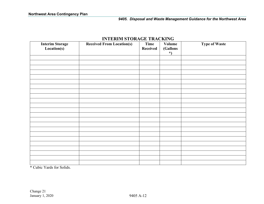| <b>Interim Storage</b><br>Location(s) | <b>Received From Location(s)</b> | Time<br><b>Received</b> | <b>Volume</b><br>(Gallons<br>$\star$ | <b>Type of Waste</b> |
|---------------------------------------|----------------------------------|-------------------------|--------------------------------------|----------------------|
|                                       |                                  |                         |                                      |                      |
|                                       |                                  |                         |                                      |                      |
|                                       |                                  |                         |                                      |                      |
|                                       |                                  |                         |                                      |                      |
|                                       |                                  |                         |                                      |                      |
|                                       |                                  |                         |                                      |                      |
|                                       |                                  |                         |                                      |                      |
|                                       |                                  |                         |                                      |                      |
|                                       |                                  |                         |                                      |                      |
|                                       |                                  |                         |                                      |                      |
|                                       |                                  |                         |                                      |                      |
|                                       |                                  |                         |                                      |                      |
|                                       |                                  |                         |                                      |                      |
|                                       |                                  |                         |                                      |                      |
|                                       |                                  |                         |                                      |                      |
|                                       |                                  |                         |                                      |                      |
|                                       |                                  |                         |                                      |                      |
|                                       |                                  |                         |                                      |                      |
|                                       |                                  |                         |                                      |                      |
|                                       |                                  |                         |                                      |                      |
|                                       |                                  |                         |                                      |                      |
|                                       |                                  |                         |                                      |                      |
|                                       |                                  |                         |                                      |                      |

# **INTERIM STORAGE TRACKING**

\* Cubic Yards for Solids.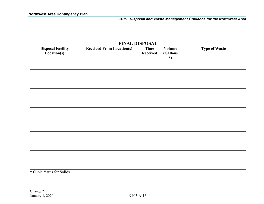| <b>Disposal Facility</b><br>Location(s) | <b>Received From Location(s)</b> | Time<br>Received | <b>Volume</b><br>(Gallons<br>$\ast$ | <b>Type of Waste</b> |
|-----------------------------------------|----------------------------------|------------------|-------------------------------------|----------------------|
|                                         |                                  |                  |                                     |                      |
|                                         |                                  |                  |                                     |                      |
|                                         |                                  |                  |                                     |                      |
|                                         |                                  |                  |                                     |                      |
|                                         |                                  |                  |                                     |                      |
|                                         |                                  |                  |                                     |                      |
|                                         |                                  |                  |                                     |                      |
|                                         |                                  |                  |                                     |                      |
|                                         |                                  |                  |                                     |                      |
|                                         |                                  |                  |                                     |                      |
|                                         |                                  |                  |                                     |                      |
|                                         |                                  |                  |                                     |                      |
|                                         |                                  |                  |                                     |                      |
|                                         |                                  |                  |                                     |                      |
|                                         |                                  |                  |                                     |                      |
|                                         |                                  |                  |                                     |                      |
|                                         |                                  |                  |                                     |                      |
|                                         |                                  |                  |                                     |                      |
|                                         |                                  |                  |                                     |                      |
|                                         |                                  |                  |                                     |                      |
|                                         |                                  |                  |                                     |                      |
|                                         |                                  |                  |                                     |                      |
|                                         |                                  |                  |                                     |                      |

# **FINAL DISPOSAL**

\* Cubic Yards for Solids.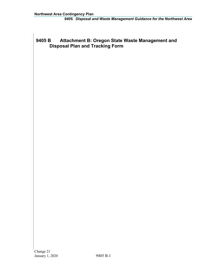# <span id="page-21-0"></span>**9405 B Attachment B: Oregon State Waste Management and Disposal Plan and Tracking Form**

Change 21 January 1, 2020 9405 B-1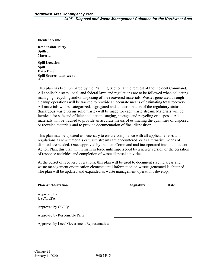| <b>Incident Name</b>                  |  |
|---------------------------------------|--|
| <b>Responsible Party</b>              |  |
| <b>Spilled</b>                        |  |
| <b>Material</b>                       |  |
| <b>Spill Location</b>                 |  |
| <b>Spill</b>                          |  |
| Date/Time                             |  |
| <b>Spill Source (Vessel, vehicle,</b> |  |
| etc.)                                 |  |

This plan has been prepared by the Planning Section at the request of the Incident Command. All applicable state, local, and federal laws and regulations are to be followed when collecting, managing, recycling and/or disposing of the recovered materials. Wastes generated through cleanup operations will be tracked to provide an accurate means of estimating total recovery. All materials will be categorized, segregated and a determination of the regulatory status (hazardous waste versus solid waste) will be made for each waste stream. Materials will be itemized for safe and efficient collection, staging, storage, and recycling or disposal. All materials will be tracked to provide an accurate means of estimating the quantities of disposed or recycled materials and to provide documentation of final disposition.

This plan may be updated as necessary to ensure compliance with all applicable laws and regulations as new materials or waste streams are encountered, or as alternative means of disposal are needed. Once approved by Incident Command and incorporated into the Incident Action Plan, this plan will remain in force until superseded by a newer version or the cessation of response activities and completion of waste disposal activities.

At the outset of recovery operations, this plan will be used to document staging areas and waste management organization elements until information on wastes generated is obtained. The plan will be updated and expanded as waste management operations develop.

| <b>Plan Authorization</b>                    | <b>Signature</b> | Date |  |
|----------------------------------------------|------------------|------|--|
| Approved by<br>USCG/EPA:                     |                  |      |  |
| Approved by ODEQ:                            |                  |      |  |
| Approved by Responsible Party:               |                  |      |  |
| Approved by Local Government Representative: |                  |      |  |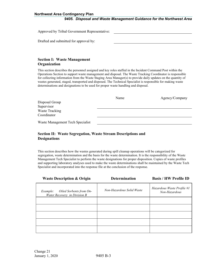#### **Northwest Area Contingency Plan**

#### *9405. Disposal and Waste Management Guidance for the Northwest Area*

| Approved by Tribal Government Representative: |  |
|-----------------------------------------------|--|
|                                               |  |

Drafted and submitted for approval by:

## **Section I: Waste Management Organization**

This section describes the personnel assigned and key roles staffed in the Incident Command Post within the Operations Section to support waste management and disposal. The Waste Tracking Coordinator is responsible for collecting information from the Waste Staging Area Manager(s) to provide daily updates on the quantity of wastes generated, staged, transported and disposed. The Technical Specialist is responsible for making waste determinations and designations to be used for proper waste handling and disposal.

|                                  | Name | Agency/Company |
|----------------------------------|------|----------------|
| Disposal Group                   |      |                |
| Supervisor                       |      |                |
| <b>Waste Tracking</b>            |      |                |
| Coordinator                      |      |                |
| Waste Management Tech Specialist |      |                |

## **Section II: Waste Segregation, Waste Stream Descriptions and Designations**

This section describes how the wastes generated during spill cleanup operations will be categorized for segregation, waste determination and the basis for the waste determination. It is the responsibility of the Waste Management Tech Specialist to perform the waste designations for proper disposition. Copies of waste profiles and supporting laboratory analyses used to make the waste determinations shall be maintained by the Waste Tech Specialist and incorporated into the response file at the conclusion of the response.

| <b>Waste Description &amp; Origin</b>                               | <b>Determination</b>      | <b>Basis / HW Profile ID</b>                |
|---------------------------------------------------------------------|---------------------------|---------------------------------------------|
| Oiled Sorbents from On-<br>Example:<br>Water Recovery in Division B | Non-Hazardous Solid Waste | Hazardous Waste Profile #1<br>Non-Hazardous |
|                                                                     |                           |                                             |
|                                                                     |                           |                                             |
|                                                                     |                           |                                             |
|                                                                     |                           |                                             |
|                                                                     |                           |                                             |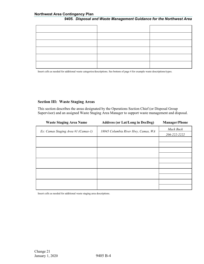#### **Northwest Area Contingency Plan**

# *9405. Disposal and Waste Management Guidance for the Northwest Area*

Insert cells as needed for additional waste categories/descriptions. See bottom of page 4 for example waste descriptions/types.

## **Section III: Waste Staging Areas**

This section describes the areas designated by the Operations Section Chief (or Disposal Group Supervisor) and an assigned Waste Staging Area Manager to support waste management and disposal.

| <b>Waste Staging Area Name</b>      | <b>Address (or Lat/Long in DecDeg)</b> | <b>Manager/Phone</b> |
|-------------------------------------|----------------------------------------|----------------------|
| Ex: Camas Staging Area #1 (Camas-1) | 18045 Columbia River Hwy, Camas, WA    | Mack Buck            |
|                                     |                                        | 206-222-2222         |
|                                     |                                        |                      |
|                                     |                                        |                      |
|                                     |                                        |                      |
|                                     |                                        |                      |
|                                     |                                        |                      |
|                                     |                                        |                      |
|                                     |                                        |                      |
|                                     |                                        |                      |
|                                     |                                        |                      |
|                                     |                                        |                      |

Insert cells as needed for additional waste staging area descriptions.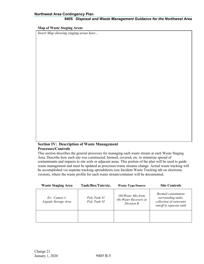#### **Map of Waste Staging Areas**

*Insert Map showing staging areas here…*

#### **Section IV: Description of Waste Management Processes/Controls**

This section describes the general processes for managing each waste stream at each Waste Staging Area. Describe how each site was constructed, bermed, covered, etc. to minimize spread of contaminants and impacts to site soils or adjacent areas. This portion of the plan will be used to guide waste management and must be updated as processes/waste streams change. Actual waste tracking will be accomplished via separate tracking spreadsheets (see Incident Waste Tracking tab on electronic version), where the waste profile for each waste stream/container will be documented.

| <b>Waste Staging Area</b>              | Tank/Box/Tote/etc.           | <b>Waste Type/Source</b>                                 | <b>Site Controls</b>                                                                           |
|----------------------------------------|------------------------------|----------------------------------------------------------|------------------------------------------------------------------------------------------------|
| $Ex: Camas-1.$<br>Liquids Storage Area | Poly Tank #1<br>Poly Tank #2 | Oil/Water Mix from<br>On-Water Recovery in<br>Division B | Bermed containment<br>surrounding tanks,<br>collection of rainwater<br>runoff to separate tank |
|                                        |                              |                                                          |                                                                                                |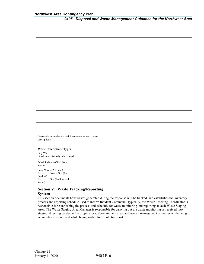Insert cells as needed for additional waste stream control descriptions.

#### **Waste Descriptions/Types**

Oily Water Oiled Debris (woody debris, sand, etc.) Oiled Sorbents (Oiled Solid Wastes) Solid Waste (PPE, etc.) Recovered Source Oils (Pure Product) Recovered Oils (Product with Water)

## **Section V: Waste Tracking/Reporting**

#### **System**

This section documents how wastes generated during the response will be tracked, and establishes the inventory process and reporting schedule used to inform Incident Command. Typically, the Waste Tracking Coordinator is responsible for establishing the process and schedule for waste monitoring and reporting at each Waste Staging Area. The Waste Staging Area Manager is responsible for carrying out the waste monitoring as received into staging, directing wastes to the proper storage/containment area, and overall management of wastes while being accumulated, stored and while being loaded for offsite transport.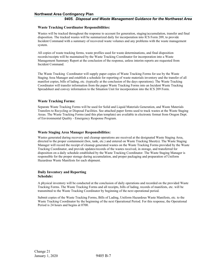#### **Northwest Area Contingency Plan**

#### *9405. Disposal and Waste Management Guidance for the Northwest Area*

#### **Waste Tracking Coordinator Responsibilities:**

Wastes will be tracked throughout the response to account for generation, staging/accumulation, transfer and final disposition. The tracked wastes will be summarized daily for incorporation into ICS Form 209, to provide Incident Command with a summary of recovered waste volumes and any problems with the waste management system.

All copies of waste tracking forms, waste profiles used for waste determinations, and final disposition records/receipts will be maintained by the Waste Tracking Coordinator for incorporation into a Waste Management Summary Report at the conclusion of the response, unless interim reports are requested from Incident Command.

The Waste Tracking Coordinator will supply paper copies of Waste Tracking Forms for use by the Waste Staging Area Manager and establish a schedule for reporting of waste materials inventory and the transfer of all manifest copies, bills of lading, etc. (typically at the conclusion of the days operations). The Waste Tracking Coordinator will transfer information from the paper Waste Tracking Forms into an Incident Waste Tracking Spreadsheet and convey information to the Situation Unit for incorporation into the ICS 209 Form.

#### **Waste Tracking Forms:**

Separate Waste Tracking Forms will be used for Solid and Liquid Materials Generation, and Waste Materials Transfers to Recycling or Disposal Facilities. See attached paper forms used to track wastes at the Waste Staging Areas. The Waste Tracking Forms (and this plan template) are available in electronic format from Oregon Dept. of Environmental Quality - Emergency Response Program.

#### **Waste Staging Area Manager Responsibilities:**

Wastes generated during recovery and cleanup operations are received at the designated Waste Staging Area, directed to the proper containment (box, tank, etc.) and entered on Waste Tracking Sheet(s). The Waste Staging Manager will record the receipt of cleanup generated wastes on the Waste Tracking Forms provided by the Waste Tracking Coordinator, and provide updates/records of the wastes received, in storage, and transferred for disposition on a daily schedule established by the Waste Tracking Coordinator. The Waste Staging Manager is responsible for the proper storage during accumulation, and proper packaging and preparation of Uniform Hazardous Waste Manifests for each shipment.

#### **Daily Inventory and Reporting Schedule:**

A physical inventory will be conducted at the conclusion of daily operations and recorded on the provided Waste Tracking Forms. The Waste Tracking Forms and all receipts, bills of lading, records of manifests, etc. will be transmitted to the Waste Tracking Coordinator by beginning of the next operational period.

Submit copies of the Waste Tracking Forms, Bills of Lading, Uniform Hazardous Waste Manifests, etc. to the Waste Tracking Coordinator by the beginning of the next Operational Period. For this response, the Operational Period is 24 hours and begins at 0700.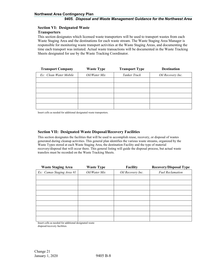# **Section VI: Designated Waste**

#### **Transporters**

This section designates which licensed waste transporters will be used to transport wastes from each Waste Staging Area and the destinations for each waste stream. The Waste Staging Area Manager is responsible for monitoring waste transport activities at the Waste Staging Areas, and documenting the time each transport was initiated. Actual waste transactions will be documented in the Waste Tracking Sheets designated for use by the Waste Tracking Coordinator.

| <b>Transport Company</b> | <b>Waste Type</b> | <b>Transport Type</b> | <b>Destination</b> |
|--------------------------|-------------------|-----------------------|--------------------|
| Ex: Clean Water Mobile   | Oil/Water Mix     | Tanker Truck          | Oil Recovery Inc.  |
|                          |                   |                       |                    |
|                          |                   |                       |                    |
|                          |                   |                       |                    |
|                          |                   |                       |                    |
|                          |                   |                       |                    |
|                          |                   |                       |                    |

Insert cells as needed for additional designated waste transporters.

#### **Section VII: Designated Waste Disposal/Recovery Facilities**

This section designates the facilities that will be used to accomplish reuse, recovery, or disposal of wastes generated during cleanup activities. This general plan identifies the various waste streams, organized by the Waste Types stored at each Waste Staging Area, the destination Facility and the type of material recovery/disposal that will occur there. This general listing will guide the disposal process, but actual waste transfers must be recorded on the Waste Tracking Sheets.

| <b>Waste Staging Area</b> | <b>Waste Type</b> | <b>Facility</b>   | <b>Recovery/Disposal Type</b> |
|---------------------------|-------------------|-------------------|-------------------------------|
| Ex: Camas Staging Area #1 | Oil/Water Mix     | Oil Recovery Inc. | <b>Fuel Reclamation</b>       |
|                           |                   |                   |                               |
|                           |                   |                   |                               |
|                           |                   |                   |                               |
|                           |                   |                   |                               |
|                           |                   |                   |                               |
|                           |                   |                   |                               |
|                           |                   |                   |                               |
|                           |                   |                   |                               |
|                           |                   |                   |                               |

Insert cells as needed for additional designated waste

disposal/recovery facilities.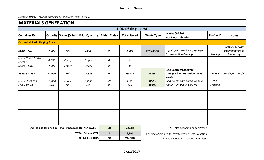| <b>IMATERIALS GENERATION</b>       |        |             |                                                          |                    |                             |                     |                                                                                   |                   |                                                  |
|------------------------------------|--------|-------------|----------------------------------------------------------|--------------------|-----------------------------|---------------------|-----------------------------------------------------------------------------------|-------------------|--------------------------------------------------|
|                                    |        |             |                                                          |                    | <b>LIQUIDS (in gallons)</b> |                     |                                                                                   |                   |                                                  |
| <b>Container ID</b>                |        |             | Capacity Status (% full) Prior Quantity                  | <b>Added Today</b> | <b>Total Stored</b>         | <b>Waste Type</b>   | <b>Waste Origin/</b><br><b>HW Determination</b>                                   | <b>Profile ID</b> | <b>Notes</b>                                     |
| <b>Cathedral Park Staging Area</b> |        |             |                                                          |                    |                             |                     |                                                                                   |                   |                                                  |
| Baker P4217                        | 4,000  | Full        | 3,806                                                    | 0                  | 3,806                       | <b>Oily Liquids</b> | Liquids from Machinery Space/HW<br><b>Determination Pending</b>                   | Pending           | Samples for HW<br>Determination at<br>laboratory |
| Baker NP4211 (aka<br>Baker-1)      | 4,000  | Empty       | Empty                                                    | 0                  | 0                           |                     |                                                                                   |                   |                                                  |
| Baker P4389                        | 4,000  | Empty       | Empty                                                    | 0                  | 0                           |                     |                                                                                   |                   |                                                  |
| <b>Baker SV26307L</b>              | 21,000 | <b>Full</b> | 19,375                                                   | 0                  | 19,375                      | <b>Water</b>        | <b>Rain Water from Barge</b><br><b>Umpqua/Non-Hazardous Solid</b><br><b>Waste</b> | P1234             | Ready for transfer                               |
| Baker SV29590L                     | 21,000 | In Use      | 3,232                                                    | 50                 | 3,282                       | Water               | Rain Water from Barge Umpqua                                                      | <b>NYS</b>        |                                                  |
| Poly Tote 13                       | 275    | Full        | 225                                                      | 0                  | 225                         | Water               | <b>Water from Decon Stations</b>                                                  | Pending           |                                                  |
|                                    |        |             |                                                          |                    |                             |                     |                                                                                   |                   |                                                  |
|                                    |        |             |                                                          |                    |                             |                     |                                                                                   |                   |                                                  |
|                                    |        |             |                                                          |                    |                             |                     |                                                                                   |                   |                                                  |
|                                    |        |             |                                                          |                    |                             |                     |                                                                                   |                   |                                                  |
|                                    |        |             | (Adj. to use for any Sub-Total, if needed) TOTAL "WATER" | 50                 | 22,882                      |                     | NYS = Not Yet Sampled for Profile                                                 |                   |                                                  |
|                                    |        |             | <b>TOTAL OILY WATER</b>                                  | $\mathbf 0$        | 3,806                       |                     | Pending = Sampled for Waste Profile Determination                                 |                   |                                                  |
|                                    |        |             | <b>TOTAL LIQUIDS</b>                                     | 50                 | 26,688                      |                     | At Lab = Awaiting Laboratory Analysis                                             |                   |                                                  |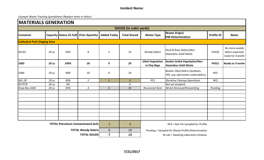|                                    | <b>MATERIALS GENERATION</b> |      |                                           |                         |                                |                                         |                                                                              |                                       |                                                         |  |
|------------------------------------|-----------------------------|------|-------------------------------------------|-------------------------|--------------------------------|-----------------------------------------|------------------------------------------------------------------------------|---------------------------------------|---------------------------------------------------------|--|
|                                    |                             |      |                                           |                         | <b>SOLIDS (in cubic yards)</b> |                                         |                                                                              |                                       |                                                         |  |
| <b>Container</b>                   |                             |      | Capacity Status (% full) Prior Quantity   | <b>Added Today</b>      | <b>Total Stored</b>            | <b>Waste Type</b>                       | <b>Waste Origin/</b><br><b>HW Determination</b>                              | <b>Profile ID</b>                     | <b>Notes</b>                                            |  |
| <b>Cathedral Park Staging Area</b> |                             |      |                                           |                         |                                |                                         |                                                                              |                                       |                                                         |  |
| R2192                              | 20 cy                       | 50%  | 8                                         | $\overline{2}$          | 10                             | <b>Woody Debris</b>                     | Deck & River Debris/Non-<br><b>Hazardous Solid Waste</b>                     | P4320                                 | No more woody<br>debris expected;<br>ready for transfer |  |
| 3383                               | 20 cy                       | 100% | 20                                        | 0                       | 20                             | <b>Oiled Vegetation</b><br>in Poly Bags | <b>Bunker Soiled Vegetation/Non-</b><br><b>Hazardous Solid Waste</b>         | P4321                                 | <b>Ready to Transfer</b>                                |  |
| 3384                               | 20 cy                       | 90%  | 10                                        | 9                       | 19                             |                                         | <b>Bunker Oiled Debris (Sorbants,</b><br>PPE, any soft bunker soiled debris) | <b>NYS</b>                            |                                                         |  |
| 361-20                             | 20 cy                       | 30%  | $\overline{2}$                            | $\mathbf{1}$            | $\overline{3}$                 | PCS                                     | <b>Shoreline Cleanup Operations</b>                                          | <b>NYS</b>                            |                                                         |  |
| R27978                             | 20 cy                       | 0%   |                                           |                         | 0                              |                                         | Not yet assigned                                                             |                                       |                                                         |  |
| Drop Box 2424                      | 20 cy                       | 50%  | $\boldsymbol{4}$                          | 6                       | 10                             | <b>Recovered Steel</b>                  | <b>Wreck Removal/Dismantling</b>                                             | Pending                               |                                                         |  |
|                                    |                             |      |                                           |                         |                                |                                         |                                                                              |                                       |                                                         |  |
|                                    |                             |      |                                           |                         |                                |                                         |                                                                              |                                       |                                                         |  |
|                                    |                             |      |                                           |                         |                                |                                         |                                                                              |                                       |                                                         |  |
|                                    |                             |      | <b>TOTAL Petroleum Contaminated Soils</b> | $\mathbf{1}$            | $\overline{3}$                 |                                         | NYS = Not Yet Sampled for Profile                                            |                                       |                                                         |  |
|                                    |                             |      | <b>TOTAL Woody Debris</b>                 | $6\phantom{1}$          | 10                             |                                         | Pending = Sampled for Waste Profile Determination                            |                                       |                                                         |  |
|                                    |                             |      | <b>TOTAL SOLIDS</b>                       | $\overline{\mathbf{z}}$ | 13                             |                                         |                                                                              | At Lab = Awaiting Laboratory Analysis |                                                         |  |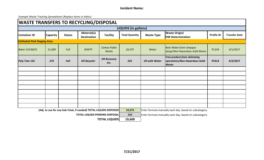|                                    | <b>WASTE TRANSFERS TO RECYCLING/DISPOSAL</b> |               |                                                                   |                                     |                             |                       |                                                                                     |                   |                      |
|------------------------------------|----------------------------------------------|---------------|-------------------------------------------------------------------|-------------------------------------|-----------------------------|-----------------------|-------------------------------------------------------------------------------------|-------------------|----------------------|
|                                    |                                              |               |                                                                   |                                     | <b>LIQUIDS (in gallons)</b> |                       |                                                                                     |                   |                      |
| <b>Container ID</b>                | <b>Capacity</b>                              | <b>Status</b> | Material(s)<br><b>Destination</b>                                 | <b>Facility</b>                     | <b>Total Quantity</b>       | <b>Waste Type</b>     | <b>Waste Origin/</b><br><b>HW Determination</b>                                     | <b>Profile ID</b> | <b>Transfer Date</b> |
| <b>Cathedral Park Staging Area</b> |                                              |               |                                                                   |                                     |                             |                       |                                                                                     |                   |                      |
| <b>Baker SV23607L</b>              | 21,000                                       | Full          | <b>WWTP</b>                                                       | <b>Camas Public</b><br><b>Works</b> | 19,375                      | Water                 | <b>Rain Water from Umpqua</b><br>barge/Non-Hazardous Solid Waste                    | P1234             | 4/1/2017             |
| <b>Poly Tote 132</b>               | 275                                          | <b>Full</b>   | <b>Oil Recycler</b>                                               | <b>Oil Recovery</b><br>Inc.         | 225                         | <b>Oil with Water</b> | <b>Free product from skimming</b><br>operations/Non-Hazardous Solid<br><b>Waste</b> | P2314             | 4/2/2017             |
|                                    |                                              |               |                                                                   |                                     |                             |                       |                                                                                     |                   |                      |
|                                    |                                              |               |                                                                   |                                     |                             |                       |                                                                                     |                   |                      |
|                                    |                                              |               |                                                                   |                                     |                             |                       |                                                                                     |                   |                      |
|                                    |                                              |               |                                                                   |                                     |                             |                       |                                                                                     |                   |                      |
|                                    |                                              |               |                                                                   |                                     |                             |                       |                                                                                     |                   |                      |
|                                    |                                              |               |                                                                   |                                     |                             |                       |                                                                                     |                   |                      |
|                                    |                                              |               |                                                                   |                                     |                             |                       |                                                                                     |                   |                      |
|                                    |                                              |               |                                                                   |                                     |                             |                       |                                                                                     |                   |                      |
|                                    |                                              |               |                                                                   |                                     |                             |                       |                                                                                     |                   |                      |
|                                    |                                              |               | (Adj. to use for any Sub-Total, if needed) TOTAL LIQUIDS DISPOSED |                                     | 19,375                      |                       | Enter formula manually each day, based on subcategory                               |                   |                      |
|                                    |                                              |               | <b>TOTAL LIQUIDS PENDING DISPOSAL</b>                             |                                     | 225                         |                       | Enter formula manually each day, based on subcategory                               |                   |                      |
|                                    |                                              |               |                                                                   | <b>TOTAL LIQUIDS</b>                | 19,600                      |                       |                                                                                     |                   |                      |